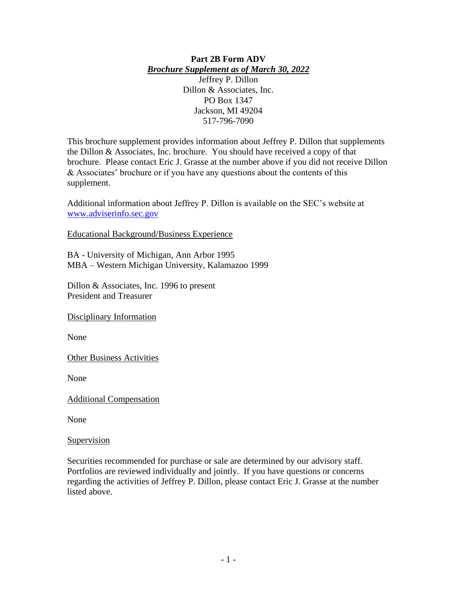#### **Part 2B Form ADV** *Brochure Supplement as of March 30, 2022*

Jeffrey P. Dillon Dillon & Associates, Inc. PO Box 1347 Jackson, MI 49204 517-796-7090

This brochure supplement provides information about Jeffrey P. Dillon that supplements the Dillon & Associates, Inc. brochure. You should have received a copy of that brochure. Please contact Eric J. Grasse at the number above if you did not receive Dillon & Associates' brochure or if you have any questions about the contents of this supplement.

Additional information about Jeffrey P. Dillon is available on the SEC's website at [www.adviserinfo.sec.gov](http://www.adviserinfo.sec.gov/)

Educational Background/Business Experience

BA - University of Michigan, Ann Arbor 1995 MBA – Western Michigan University, Kalamazoo 1999

Dillon & Associates, Inc. 1996 to present President and Treasurer

Disciplinary Information

None

Other Business Activities

None

Additional Compensation

None

#### **Supervision**

Securities recommended for purchase or sale are determined by our advisory staff. Portfolios are reviewed individually and jointly. If you have questions or concerns regarding the activities of Jeffrey P. Dillon, please contact Eric J. Grasse at the number listed above.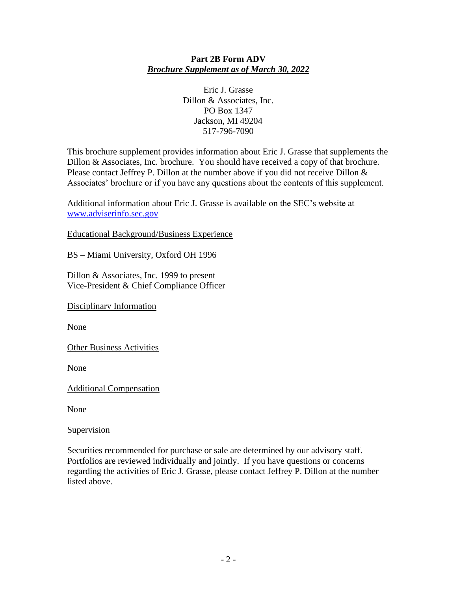# **Part 2B Form ADV** *Brochure Supplement as of March 30, 2022*

Eric J. Grasse Dillon & Associates, Inc. PO Box 1347 Jackson, MI 49204 517-796-7090

This brochure supplement provides information about Eric J. Grasse that supplements the Dillon & Associates, Inc. brochure. You should have received a copy of that brochure. Please contact Jeffrey P. Dillon at the number above if you did not receive Dillon  $\&$ Associates' brochure or if you have any questions about the contents of this supplement.

Additional information about Eric J. Grasse is available on the SEC's website at [www.adviserinfo.sec.gov](http://www.adviserinfo.sec.gov/)

Educational Background/Business Experience

BS – Miami University, Oxford OH 1996

Dillon & Associates, Inc. 1999 to present Vice-President & Chief Compliance Officer

Disciplinary Information

None

Other Business Activities

None

Additional Compensation

None

Supervision

Securities recommended for purchase or sale are determined by our advisory staff. Portfolios are reviewed individually and jointly. If you have questions or concerns regarding the activities of Eric J. Grasse, please contact Jeffrey P. Dillon at the number listed above.